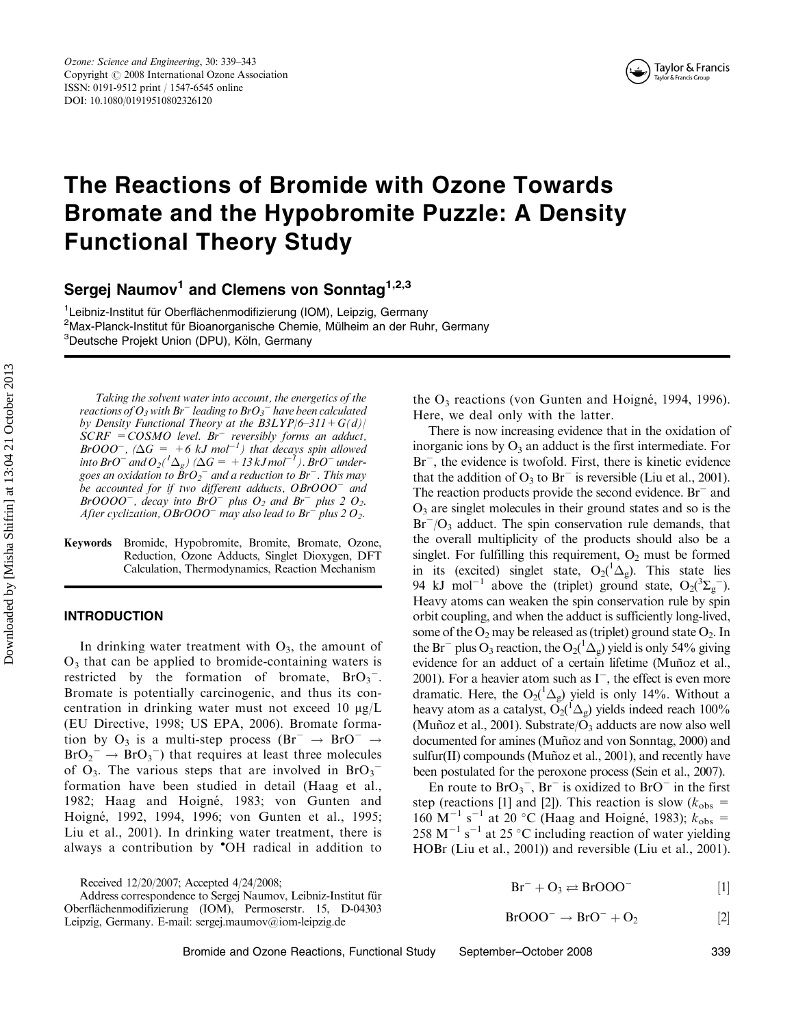

# The Reactions of Bromide with Ozone Towards Bromate and the Hypobromite Puzzle: A Density Functional Theory Study

Sergej Naumov<sup>1</sup> and Clemens von Sonntag<sup>1,2,3</sup>

<sup>1</sup>Leibniz-Institut für Oberflächenmodifizierung (IOM), Leipzig, Germany<br><sup>2</sup>Max-Planck-Institut für Bioanorganische Chemie, Mülheim an der Bub <sup>2</sup>Max-Planck-Institut für Bioanorganische Chemie, Mülheim an der Ruhr, Germany <sup>3</sup>Deutsche Projekt Union (DPU), Köln, Germany

Taking the solvent water into account, the energetics of the reactions of  $O_3$  with  $Br^-$  leading to  $BrO_3^+$  have been calculated by Density Functional Theory at the  $B3LYP/6-311+G(d)/$  $SCRF = COSMO$  level. Br<sup>-</sup> reversibly forms an adduct, BrOOO<sup>-</sup>,  $(\Delta G = +6 kJ \text{ mol}^{-1})$  that decays spin allowed into BrO $^-$  and  $O_2({}^1\Delta_g)$  ( $\Delta G=+13$  kJ mol $^{-1}$ ). BrO $^-$  undergoes an oxidation to  $\r{BrO}_{2}^{-}$  and a reduction to  $Br^{-}.$  This may be accounted for if two different adducts,  $\mathit{O}$ BrOOO $^-$  and BrOOOO<sup>-</sup>, decay into BrO<sup>-</sup> plus  $O_2$  and Br<sup>-</sup> plus 2  $O_2$ . After cyclization, OBrOOO<sup>-</sup> may also lead to Br<sup>-</sup> plus 2 O<sub>2</sub>.

Keywords Bromide, Hypobromite, Bromite, Bromate, Ozone, Reduction, Ozone Adducts, Singlet Dioxygen, DFT Calculation, Thermodynamics, Reaction Mechanism

# INTRODUCTION

In drinking water treatment with  $O_3$ , the amount of  $O_3$  that can be applied to bromide-containing waters is restricted by the formation of bromate,  $BrO_3^-$ . Bromate is potentially carcinogenic, and thus its concentration in drinking water must not exceed 10  $\mu$ g/L (EU Directive, 1998; US EPA, 2006). Bromate formation by O<sub>3</sub> is a multi-step process  $(Br^{-} \rightarrow BrO^{-} \rightarrow$  $BrO_2^- \rightarrow BrO_3^-$ ) that requires at least three molecules of  $O_3$ . The various steps that are involved in  $BrO_3^$ formation have been studied in detail (Haag et al., 1982; Haag and Hoigné, 1983; von Gunten and Hoigne´, 1992, 1994, 1996; von Gunten et al., 1995; Liu et al., 2001). In drinking water treatment, there is always a contribution by OH radical in addition to

Received 12/20/2007; Accepted 4/24/2008;

the  $O_3$  reactions (von Gunten and Hoigné, 1994, 1996). Here, we deal only with the latter.

There is now increasing evidence that in the oxidation of inorganic ions by  $O_3$  an adduct is the first intermediate. For Br<sup>-</sup>, the evidence is twofold. First, there is kinetic evidence that the addition of  $O_3$  to  $Br^-$  is reversible (Liu et al., 2001). The reaction products provide the second evidence.  $Br^-$  and  $O<sub>3</sub>$  are singlet molecules in their ground states and so is the  $Br^-/O_3$  adduct. The spin conservation rule demands, that the overall multiplicity of the products should also be a singlet. For fulfilling this requirement,  $O_2$  must be formed in its (excited) singlet state,  $O_2(^1\Delta_g)$ . This state lies 94 kJ mol<sup>-1</sup> above the (triplet) ground state,  $O_2(^3\Sigma_g^-)$ . Heavy atoms can weaken the spin conservation rule by spin orbit coupling, and when the adduct is sufficiently long-lived, some of the  $O_2$  may be released as (triplet) ground state  $O_2$ . In the Br<sup>-</sup> plus O<sub>3</sub> reaction, the O<sub>2</sub>( ${}^{1}\Delta_{g}$ ) yield is only 54% giving evidence for an adduct of a certain lifetime (Muñoz et al., 2001). For a heavier atom such as  $I^-$ , the effect is even more dramatic. Here, the  $O_2(^1\Delta_g)$  yield is only 14%. Without a heavy atom as a catalyst,  $O_2(^1\Delta_g)$  yields indeed reach 100% (Muñoz et al., 2001). Substrate/ $O_3$  adducts are now also well documented for amines (Muñoz and von Sonntag, 2000) and sulfur(II) compounds (Muñoz et al., 2001), and recently have been postulated for the peroxone process (Sein et al., 2007).

En route to  $BrO_3^-$ ,  $Br^-$  is oxidized to  $BrO^-$  in the first step (reactions [1] and [2]). This reaction is slow ( $k_{\text{obs}}$  = 160 M<sup>-1</sup> s<sup>-1</sup> at 20 °C (Haag and Hoigné, 1983);  $k_{\text{obs}} =$ 258 M<sup>-1</sup> s<sup>-1</sup> at 25 °C including reaction of water yielding HOBr (Liu et al., 2001)) and reversible (Liu et al., 2001).

$$
Br^- + O_3 \rightleftarrows BrOOO^-
$$
 [1]

$$
BrOOO^{-}\rightarrow BrO^{-}+O_{2} \qquad \qquad [2]
$$

Bromide and Ozone Reactions, Functional Study September–October 2008 339

Address correspondence to Sergej Naumov, Leibniz-Institut für Oberfla¨chenmodifizierung (IOM), Permoserstr. 15, D-04303 Leipzig, Germany. E-mail: sergej.maumov@iom-leipzig.de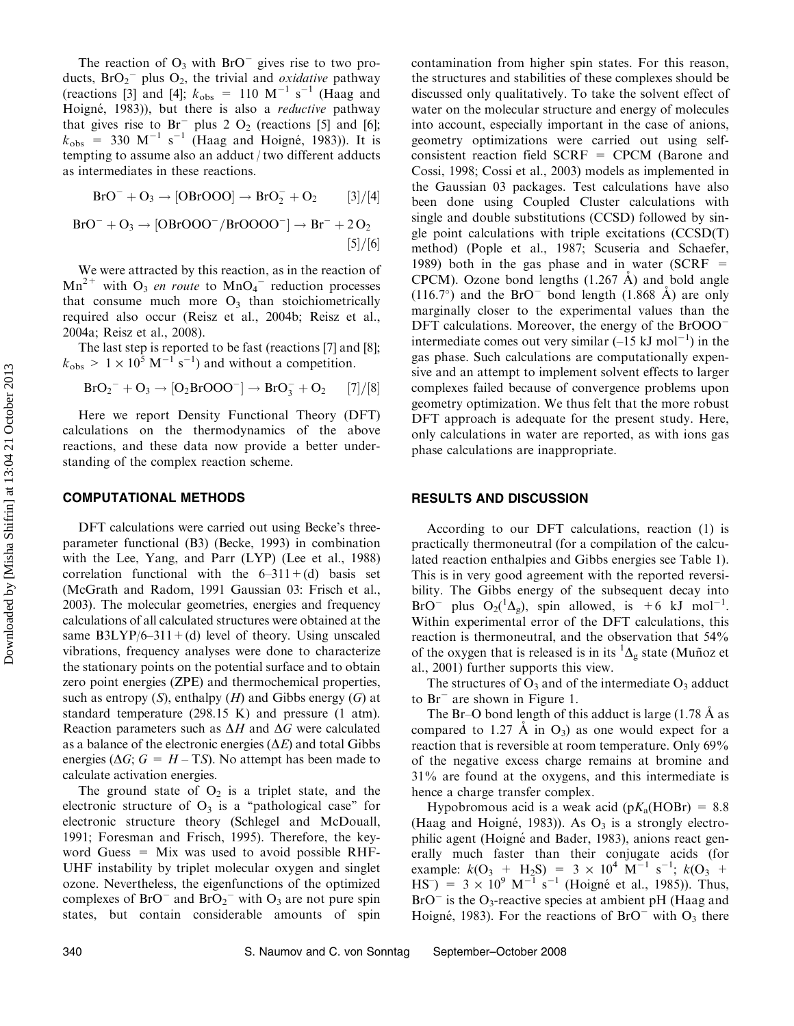The reaction of  $O_3$  with  $BrO^-$  gives rise to two products,  $BrO_2^-$  plus  $O_2$ , the trivial and *oxidative* pathway (reactions [3] and [4];  $k_{\text{obs}} = 110 \text{ M}^{-1} \text{ s}^{-1}$  (Haag and Hoigné, 1983)), but there is also a reductive pathway that gives rise to  $Br^-$  plus 2 O<sub>2</sub> (reactions [5] and [6];  $k_{\text{obs}}$  = 330 M<sup>-1</sup> s<sup>-1</sup> (Haag and Hoigné, 1983)). It is tempting to assume also an adduct / two different adducts as intermediates in these reactions.

$$
BrO^-+O_3 \rightarrow [OBrOOO] \rightarrow BrO_2^-+O_2 \qquad [3]/[4]
$$

$$
BrO^- + O_3 \rightarrow [OBrOOO^-/BrOOOO^-] \rightarrow Br^- + 2O_2
$$
  
[5]/[6]

We were attracted by this reaction, as in the reaction of  $Mn^{2+}$  with  $O_3$  *en route* to  $MnO_4$ <sup>-</sup> reduction processes that consume much more  $O_3$  than stoichiometrically required also occur (Reisz et al., 2004b; Reisz et al., 2004a; Reisz et al., 2008).

The last step is reported to be fast (reactions [7] and [8];  $k_{\text{obs}} > 1 \times 10^5 \text{ M}^{-1} \text{ s}^{-1}$ ) and without a competition.

$$
BrO_2^-+O_3 \rightarrow [O_2BrOOO^-] \rightarrow BrO_3^-+O_2 \hspace{0.5cm} [7]/[8]
$$

Here we report Density Functional Theory (DFT) calculations on the thermodynamics of the above reactions, and these data now provide a better understanding of the complex reaction scheme.

#### COMPUTATIONAL METHODS

DFT calculations were carried out using Becke's threeparameter functional (B3) (Becke, 1993) in combination with the Lee, Yang, and Parr (LYP) (Lee et al., 1988) correlation functional with the  $6-311+(d)$  basis set (McGrath and Radom, 1991 Gaussian 03: Frisch et al., 2003). The molecular geometries, energies and frequency calculations of all calculated structures were obtained at the same  $B3LYP/6-311+(d)$  level of theory. Using unscaled vibrations, frequency analyses were done to characterize the stationary points on the potential surface and to obtain zero point energies (ZPE) and thermochemical properties, such as entropy  $(S)$ , enthalpy  $(H)$  and Gibbs energy  $(G)$  at standard temperature (298.15 K) and pressure (1 atm). Reaction parameters such as  $\Delta H$  and  $\Delta G$  were calculated as a balance of the electronic energies  $(\Delta E)$  and total Gibbs energies ( $\Delta G$ ;  $G = H - TS$ ). No attempt has been made to calculate activation energies.

The ground state of  $O_2$  is a triplet state, and the electronic structure of  $O_3$  is a "pathological case" for electronic structure theory (Schlegel and McDouall, 1991; Foresman and Frisch, 1995). Therefore, the keyword Guess  $=$  Mix was used to avoid possible RHF-UHF instability by triplet molecular oxygen and singlet ozone. Nevertheless, the eigenfunctions of the optimized complexes of  $BrO<sup>-</sup>$  and  $BrO<sub>2</sub><sup>-</sup>$  with  $O<sub>3</sub>$  are not pure spin states, but contain considerable amounts of spin contamination from higher spin states. For this reason, the structures and stabilities of these complexes should be discussed only qualitatively. To take the solvent effect of water on the molecular structure and energy of molecules into account, especially important in the case of anions, geometry optimizations were carried out using selfconsistent reaction field SCRF = CPCM (Barone and Cossi, 1998; Cossi et al., 2003) models as implemented in the Gaussian 03 packages. Test calculations have also been done using Coupled Cluster calculations with single and double substitutions (CCSD) followed by single point calculations with triple excitations (CCSD(T) method) (Pople et al., 1987; Scuseria and Schaefer, 1989) both in the gas phase and in water (SCRF  $=$ CPCM). Ozone bond lengths  $(1.267 \text{ Å})$  and bold angle  $(116.7^{\circ})$  and the BrO<sup>-</sup> bond length  $(1.868 \text{ Å})$  are only marginally closer to the experimental values than the DFT calculations. Moreover, the energy of the BrOOO<sup>-</sup> intermediate comes out very similar  $(-15 \text{ kJ mol}^{-1})$  in the gas phase. Such calculations are computationally expensive and an attempt to implement solvent effects to larger complexes failed because of convergence problems upon geometry optimization. We thus felt that the more robust DFT approach is adequate for the present study. Here, only calculations in water are reported, as with ions gas phase calculations are inappropriate.

## RESULTS AND DISCUSSION

According to our DFT calculations, reaction (1) is practically thermoneutral (for a compilation of the calculated reaction enthalpies and Gibbs energies see Table 1). This is in very good agreement with the reported reversibility. The Gibbs energy of the subsequent decay into BrO<sup>-</sup> plus O<sub>2</sub>( ${}^{1}\Delta_{g}$ ), spin allowed, is +6 kJ mol<sup>-1</sup>. Within experimental error of the DFT calculations, this reaction is thermoneutral, and the observation that 54% of the oxygen that is released is in its  ${}^{1}\Delta_{g}$  state (Muñoz et al., 2001) further supports this view.

The structures of  $O_3$  and of the intermediate  $O_3$  adduct to Br<sup>-</sup> are shown in Figure 1.

The Br–O bond length of this adduct is large  $(1.78 \text{ Å} \text{ as}$ compared to 1.27  $\dot{A}$  in  $O_3$ ) as one would expect for a reaction that is reversible at room temperature. Only 69% of the negative excess charge remains at bromine and 31% are found at the oxygens, and this intermediate is hence a charge transfer complex.

Hypobromous acid is a weak acid ( $pK_a(HOBr) = 8.8$ ) (Haag and Hoigné, 1983)). As  $O_3$  is a strongly electrophilic agent (Hoigné and Bader, 1983), anions react generally much faster than their conjugate acids (for example:  $k(O_3 + H_2S) = 3 \times 10^4 \text{ M}^{-1} \text{ s}^{-1}$ ;  $k(O_3 +$  $\text{HS}^{-}$ ) = 3 × 10<sup>9</sup> M<sup>-1</sup> s<sup>-1</sup> (Hoigné et al., 1985)). Thus,  $BrO^-$  is the  $O_3$ -reactive species at ambient pH (Haag and Hoigné, 1983). For the reactions of  $BrO$ <sup>-</sup> with  $O_3$  there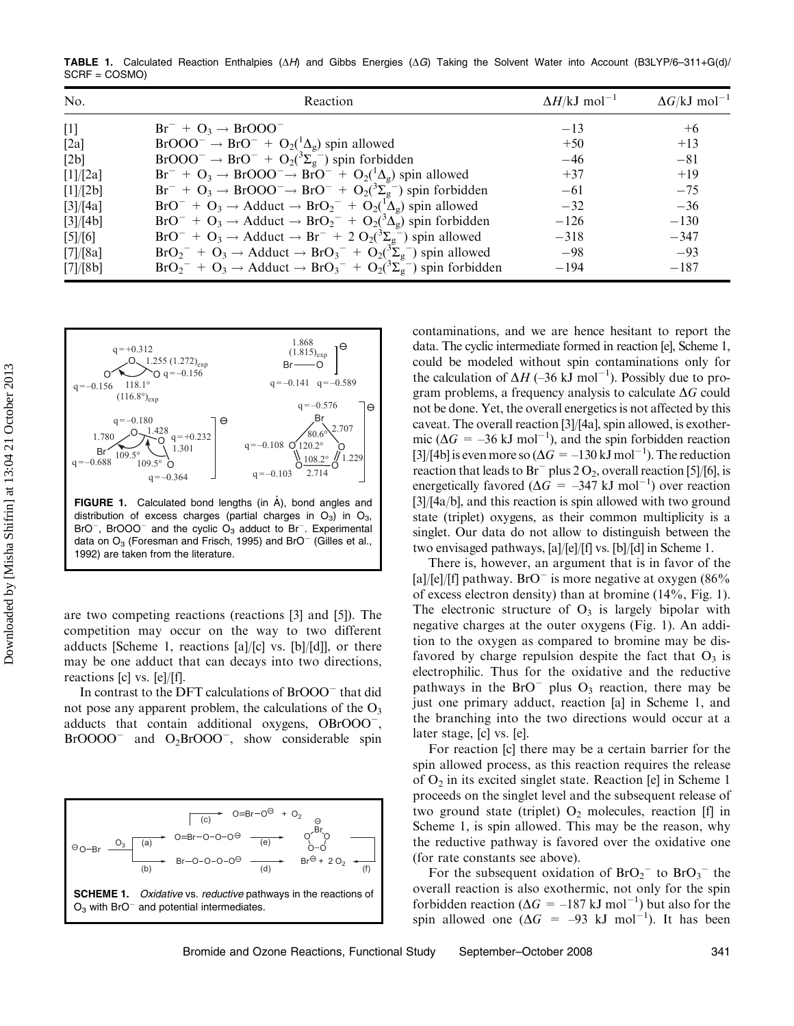TABLE 1. Calculated Reaction Enthalpies ( $\Delta H$ ) and Gibbs Energies ( $\Delta G$ ) Taking the Solvent Water into Account (B3LYP/6–311+G(d)/ SCRF = COSMO)

| No.      | Reaction                                                                                  | $\Delta H/\text{kJ}$ mol <sup>-1</sup> | $\Delta G / kJ$ mol <sup>-1</sup> |
|----------|-------------------------------------------------------------------------------------------|----------------------------------------|-----------------------------------|
| $[1]$    | $Br^- + O_3 \rightarrow BrOOO^-$                                                          | $-13$                                  | $+6$                              |
| [2a]     | $BrOOO^{-} \rightarrow BrO^{-} + O_2(^{1}\Delta_g)$ spin allowed                          | $+50$                                  | $+13$                             |
| [2b]     | $BrOOO^{-} \rightarrow BrO^{-} + O_2(^{3}\Sigma_{g}^{-})$ spin forbidden                  | $-46$                                  | $-81$                             |
| [1]/[2a] | $Br^- + O_3 \rightarrow BrOOO^- \rightarrow BrO^- + O_2(^1\Delta_g)$ spin allowed         | $+37$                                  | $+19$                             |
| [1]/[2b] | $Br^- + O_3 \rightarrow BrOOO^- \rightarrow BrO^- + O_2(^3\Sigma_g^-)$ spin forbidden     | $-61$                                  | $-75$                             |
| [3]/[4a] | $BrO^- + O_3 \rightarrow Adduct \rightarrow BrO_2^- + O_2(^1\Delta_g)$ spin allowed       | $-32$                                  | $-36$                             |
| [3]/[4b] | $BrO^- + O_3 \rightarrow Adduct \rightarrow BrO_2^- + O_2(^3\Delta_g)$ spin forbidden     | $-126$                                 | $-130$                            |
| [5]/[6]  | $BrO^- + O_3 \rightarrow Adduct \rightarrow Br^- + 2 O_2(^3\Sigma_g^-)$ spin allowed      | $-318$                                 | $-347$                            |
| [7]/[8a] | $BrO_2^- + O_3 \rightarrow Adduct \rightarrow BrO_3^- + O_2(^3\Sigma_g^-)$ spin allowed   | $-98$                                  | $-93$                             |
| [7]/[8b] | $BrO_2^- + O_3 \rightarrow Adduct \rightarrow BrO_3^- + O_2(^3\Sigma_g^-)$ spin forbidden | $-194$                                 | $-187$                            |



**FIGURE 1.** Calculated bond lengths (in  $\hat{A}$ ), bond angles and distribution of excess charges (partial charges in  $O_3$ ) in  $O_3$ ,  $BrO^-$ , BrOOO<sup>-</sup> and the cyclic  $O_3$  adduct to Br<sup>-</sup>. Experimental data on  $O_3$  (Foresman and Frisch, 1995) and BrO<sup>-</sup> (Gilles et al., 1992) are taken from the literature.

are two competing reactions (reactions [3] and [5]). The competition may occur on the way to two different adducts [Scheme 1, reactions [a]/[c] vs. [b]/[d]], or there may be one adduct that can decays into two directions, reactions [c] vs. [e]/[f].

In contrast to the DFT calculations of BrOOO<sup>-</sup> that did not pose any apparent problem, the calculations of the  $O_3$ adducts that contain additional oxygens, OBrOOO<sup>-</sup>, BrOOOO<sup>-</sup> and O<sub>2</sub>BrOOO<sup>-</sup>, show considerable spin



contaminations, and we are hence hesitant to report the data. The cyclic intermediate formed in reaction [e], Scheme 1, could be modeled without spin contaminations only for the calculation of  $\Delta H$  (-36 kJ mol<sup>-1</sup>). Possibly due to program problems, a frequency analysis to calculate  $\Delta G$  could not be done. Yet, the overall energetics is not affected by this caveat. The overall reaction [3]/[4a], spin allowed, is exothermic ( $\Delta G = -36$  kJ mol<sup>-1</sup>), and the spin forbidden reaction [3]/[4b] is even more so ( $\Delta G = -130 \text{ kJ} \text{ mol}^{-1}$ ). The reduction reaction that leads to  $Br^-$  plus 2 O<sub>2</sub>, overall reaction [5]/[6], is energetically favored ( $\Delta G = -347$  kJ mol<sup>-1</sup>) over reaction [3]/[4a/b], and this reaction is spin allowed with two ground state (triplet) oxygens, as their common multiplicity is a singlet. Our data do not allow to distinguish between the two envisaged pathways, [a]/[e]/[f] vs. [b]/[d] in Scheme 1.

There is, however, an argument that is in favor of the [a]/[e]/[f] pathway.  $BrO^-$  is more negative at oxygen (86%) of excess electron density) than at bromine (14%, Fig. 1). The electronic structure of  $O_3$  is largely bipolar with negative charges at the outer oxygens (Fig. 1). An addition to the oxygen as compared to bromine may be disfavored by charge repulsion despite the fact that  $O_3$  is electrophilic. Thus for the oxidative and the reductive pathways in the BrO<sup>-</sup> plus  $O_3$  reaction, there may be just one primary adduct, reaction [a] in Scheme 1, and the branching into the two directions would occur at a later stage, [c] vs. [e].

For reaction [c] there may be a certain barrier for the spin allowed process, as this reaction requires the release of  $O_2$  in its excited singlet state. Reaction [e] in Scheme 1 proceeds on the singlet level and the subsequent release of two ground state (triplet)  $O_2$  molecules, reaction [f] in Scheme 1, is spin allowed. This may be the reason, why the reductive pathway is favored over the oxidative one (for rate constants see above).

For the subsequent oxidation of  $BrO_2$ <sup>-</sup> to  $BrO_3$ <sup>-</sup> the overall reaction is also exothermic, not only for the spin forbidden reaction ( $\Delta G = -187 \text{ kJ} \text{ mol}^{-1}$ ) but also for the spin allowed one  $(\Delta G = -93 \text{ kJ mol}^{-1})$ . It has been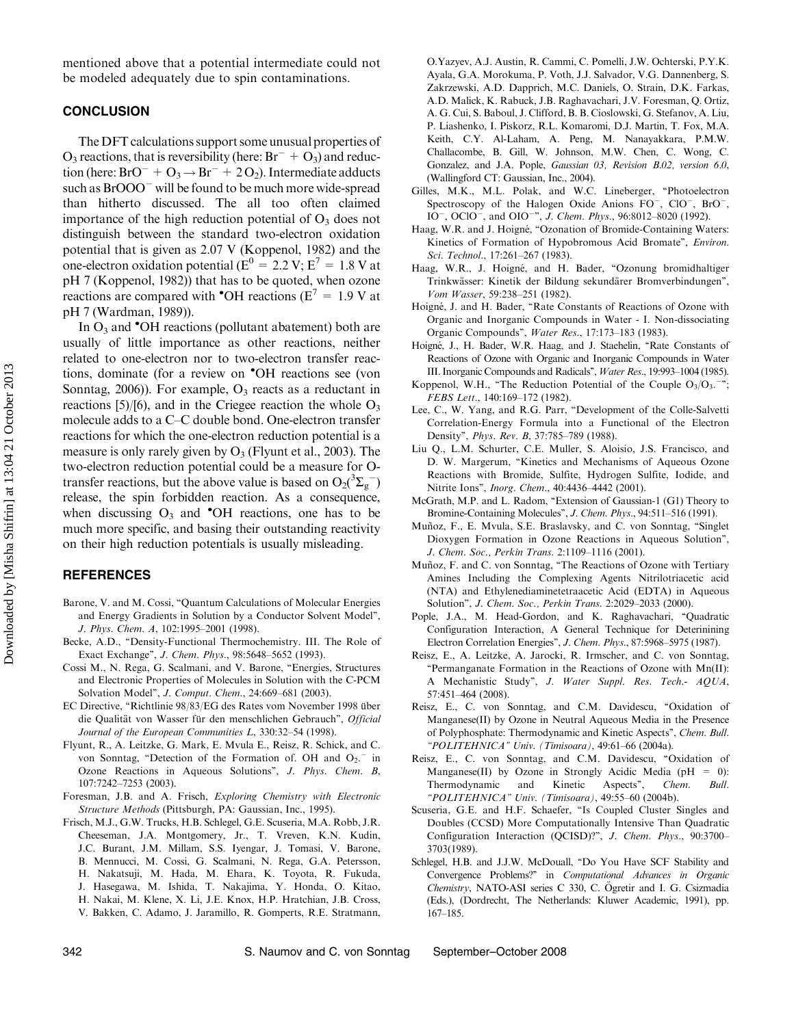mentioned above that a potential intermediate could not be modeled adequately due to spin contaminations.

#### **CONCLUSION**

The DFT calculations support some unusual properties of  $O_3$  reactions, that is reversibility (here:  $Br^- + O_3$ ) and reduction (here:  $BrO^- + O_3 \rightarrow Br^- + 2O_2$ ). Intermediate adducts such as BrOOO<sup>-</sup> will be found to be much more wide-spread than hitherto discussed. The all too often claimed importance of the high reduction potential of  $O_3$  does not distinguish between the standard two-electron oxidation potential that is given as 2.07 V (Koppenol, 1982) and the one-electron oxidation potential ( $E^0 = 2.2$  V;  $E^7 = 1.8$  V at pH 7 (Koppenol, 1982)) that has to be quoted, when ozone reactions are compared with  $\text{OH}$  reactions ( $E^7 = 1.9$  V at pH 7 (Wardman, 1989)).

In  $O_3$  and  $\textdegree$ OH reactions (pollutant abatement) both are usually of little importance as other reactions, neither related to one-electron nor to two-electron transfer reactions, dominate (for a review on OH reactions see (von Sonntag, 2006)). For example,  $O_3$  reacts as a reductant in reactions [5)/[6), and in the Criegee reaction the whole  $O_3$ molecule adds to a C–C double bond. One-electron transfer reactions for which the one-electron reduction potential is a measure is only rarely given by  $O_3$  (Flyunt et al., 2003). The two-electron reduction potential could be a measure for Otransfer reactions, but the above value is based on  $O_2(^3\Sigma_g^-)$ release, the spin forbidden reaction. As a consequence, when discussing  $O_3$  and  $\bullet$ OH reactions, one has to be much more specific, and basing their outstanding reactivity on their high reduction potentials is usually misleading.

### REFERENCES

Downloaded by [Misha Shifrin] at 13:04 21 October 2013 Downloaded by [Misha Shifrin] at 13:04 21 October 2013

- Barone, V. and M. Cossi, "Quantum Calculations of Molecular Energies and Energy Gradients in Solution by a Conductor Solvent Model'', J. Phys. Chem. A, 102:1995–2001 (1998).
- Becke, A.D., "Density-Functional Thermochemistry. III. The Role of Exact Exchange", *J. Chem. Phys.*, 98:5648-5652 (1993).
- Cossi M., N. Rega, G. Scalmani, and V. Barone, ''Energies, Structures and Electronic Properties of Molecules in Solution with the C-PCM Solvation Model'', J. Comput. Chem., 24:669–681 (2003).
- EC Directive, "Richtlinie 98/83/EG des Rates vom November 1998 über die Qualität von Wasser für den menschlichen Gebrauch", Official Journal of the European Communities L, 330:32–54 (1998).
- Flyunt, R., A. Leitzke, G. Mark, E. Mvula E., Reisz, R. Schick, and C. von Sonntag, "Detection of the Formation of. OH and  $O_2$ .<sup>-</sup> in Ozone Reactions in Aqueous Solutions'', J. Phys. Chem. B, 107:7242–7253 (2003).
- Foresman, J.B. and A. Frisch, Exploring Chemistry with Electronic Structure Methods (Pittsburgh, PA: Gaussian, Inc., 1995).
- Frisch, M.J., G.W. Trucks, H.B. Schlegel, G.E. Scuseria, M.A. Robb, J.R. Cheeseman, J.A. Montgomery, Jr., T. Vreven, K.N. Kudin, J.C. Burant, J.M. Millam, S.S. Iyengar, J. Tomasi, V. Barone, B. Mennucci, M. Cossi, G. Scalmani, N. Rega, G.A. Petersson, H. Nakatsuji, M. Hada, M. Ehara, K. Toyota, R. Fukuda, J. Hasegawa, M. Ishida, T. Nakajima, Y. Honda, O. Kitao, H. Nakai, M. Klene, X. Li, J.E. Knox, H.P. Hratchian, J.B. Cross, V. Bakken, C. Adamo, J. Jaramillo, R. Gomperts, R.E. Stratmann,

O.Yazyev, A.J. Austin, R. Cammi, C. Pomelli, J.W. Ochterski, P.Y.K. Ayala, G.A. Morokuma, P. Voth, J.J. Salvador, V.G. Dannenberg, S. Zakrzewski, A.D. Dapprich, M.C. Daniels, O. Strain, D.K. Farkas, A.D. Malick, K. Rabuck, J.B. Raghavachari, J.V. Foresman, Q. Ortiz, A. G. Cui, S. Baboul, J. Clifford, B. B. Cioslowski, G. Stefanov, A. Liu, P. Liashenko, I. Piskorz, R.L. Komaromi, D.J. Martin, T. Fox, M.A. Keith, C.Y. Al-Laham, A. Peng, M. Nanayakkara, P.M.W. Challacombe, B. Gill, W. Johnson, M.W. Chen, C. Wong, C. Gonzalez, and J.A. Pople, Gaussian 03, Revision B.02, version 6.0, (Wallingford CT: Gaussian, Inc., 2004).

- Gilles, M.K., M.L. Polak, and W.C. Lineberger, ''Photoelectron Spectroscopy of the Halogen Oxide Anions FO<sup>-</sup>, ClO<sup>-</sup>, BrO<sup>-</sup>, IO<sup>-</sup>, OClO<sup>-</sup>, and OIO<sup>-</sup>", *J. Chem. Phys.*, 96:8012-8020 (1992).
- Haag, W.R. and J. Hoigné, "Ozonation of Bromide-Containing Waters: Kinetics of Formation of Hypobromous Acid Bromate'', Environ. Sci. Technol., 17:261–267 (1983).
- Haag, W.R., J. Hoigné, and H. Bader, "Ozonung bromidhaltiger Trinkwässer: Kinetik der Bildung sekundärer Bromverbindungen", Vom Wasser, 59:238–251 (1982).
- Hoigné, J. and H. Bader, "Rate Constants of Reactions of Ozone with Organic and Inorganic Compounds in Water - I. Non-dissociating Organic Compounds'', Water Res., 17:173–183 (1983).
- Hoigné, J., H. Bader, W.R. Haag, and J. Staehelin, "Rate Constants of Reactions of Ozone with Organic and Inorganic Compounds in Water III. Inorganic Compounds and Radicals'', Water Res., 19:993–1004 (1985).
- Koppenol, W.H., "The Reduction Potential of the Couple  $O_3/O_3$ ." FEBS Lett., 140:169–172 (1982).
- Lee, C., W. Yang, and R.G. Parr, ''Development of the Colle-Salvetti Correlation-Energy Formula into a Functional of the Electron Density'', Phys. Rev. B, 37:785–789 (1988).
- Liu Q., L.M. Schurter, C.E. Muller, S. Aloisio, J.S. Francisco, and D. W. Margerum, ''Kinetics and Mechanisms of Aqueous Ozone Reactions with Bromide, Sulfite, Hydrogen Sulfite, Iodide, and Nitrite Ions'', Inorg. Chem., 40:4436–4442 (2001).
- McGrath, M.P. and L. Radom, "Extension of Gaussian-1 (G1) Theory to Bromine-Containing Molecules", J. Chem. Phys., 94:511-516 (1991).
- Muñoz, F., E. Mvula, S.E. Braslavsky, and C. von Sonntag, "Singlet Dioxygen Formation in Ozone Reactions in Aqueous Solution'', J. Chem. Soc., Perkin Trans. 2:1109–1116 (2001).
- Muñoz, F. and C. von Sonntag, "The Reactions of Ozone with Tertiary Amines Including the Complexing Agents Nitrilotriacetic acid (NTA) and Ethylenediaminetetraacetic Acid (EDTA) in Aqueous Solution'', J. Chem. Soc., Perkin Trans. 2:2029–2033 (2000).
- Pople, J.A., M. Head-Gordon, and K. Raghavachari, ''Quadratic Configuration Interaction, A General Technique for Deterinining Electron Correlation Energies'', J. Chem. Phys., 87:5968–5975 (1987).
- Reisz, E., A. Leitzke, A. Jarocki, R. Irmscher, and C. von Sonntag, ''Permanganate Formation in the Reactions of Ozone with Mn(II): A Mechanistic Study'', J. Water Suppl. Res. Tech.- AQUA, 57:451–464 (2008).
- Reisz, E., C. von Sonntag, and C.M. Davidescu, "Oxidation of Manganese(II) by Ozone in Neutral Aqueous Media in the Presence of Polyphosphate: Thermodynamic and Kinetic Aspects'', Chem. Bull. ''POLITEHNICA'' Univ. (Timisoara), 49:61–66 (2004a).
- Reisz, E., C. von Sonntag, and C.M. Davidescu, "Oxidation of Manganese(II) by Ozone in Strongly Acidic Media (pH = 0): Thermodynamic and Kinetic Aspects'', Chem. Bull. ''POLITEHNICA'' Univ. (Timisoara), 49:55–60 (2004b).
- Scuseria, G.E. and H.F. Schaefer, ''Is Coupled Cluster Singles and Doubles (CCSD) More Computationally Intensive Than Quadratic Configuration Interaction (QCISD)?'', J. Chem. Phys., 90:3700– 3703(1989).
- Schlegel, H.B. and J.J.W. McDouall, ''Do You Have SCF Stability and Convergence Problems?'' in Computational Advances in Organic Chemistry, NATO-ASI series C 330, C. Ögretir and I. G. Csizmadia (Eds.), (Dordrecht, The Netherlands: Kluwer Academic, 1991), pp. 167–185.